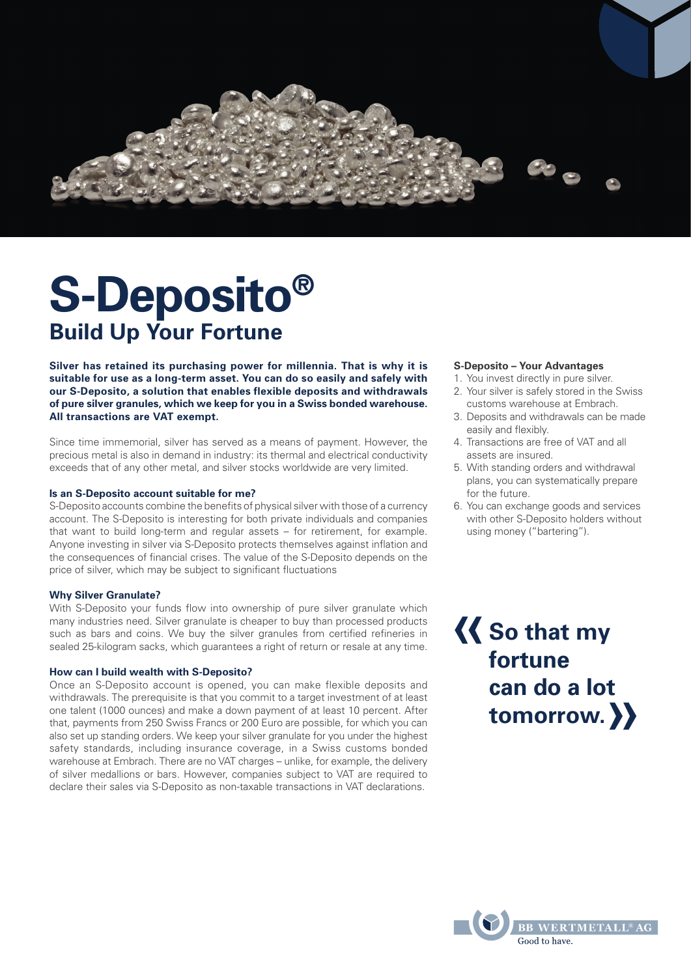

# **S-Deposito® Build Up Your Fortune**

**Silver has retained its purchasing power for millennia. That is why it is suitable for use as a long-term asset. You can do so easily and safely with our S-Deposito, a solution that enables flexible deposits and withdrawals of pure silver granules, which we keep for you in a Swiss bonded warehouse. All transactions are VAT exempt.**

Since time immemorial, silver has served as a means of payment. However, the precious metal is also in demand in industry: its thermal and electrical conductivity exceeds that of any other metal, and silver stocks worldwide are very limited.

# **Is an S-Deposito account suitable for me?**

S-Deposito accounts combine the benefits of physical silver with those of a currency account. The S-Deposito is interesting for both private individuals and companies that want to build long-term and regular assets – for retirement, for example. Anyone investing in silver via S-Deposito protects themselves against inflation and the consequences of financial crises. The value of the S-Deposito depends on the price of silver, which may be subject to significant fluctuations

#### **Why Silver Granulate?**

With S-Deposito your funds flow into ownership of pure silver granulate which many industries need. Silver granulate is cheaper to buy than processed products such as bars and coins. We buy the silver granules from certified refineries in sealed 25-kilogram sacks, which guarantees a right of return or resale at any time.

#### **How can I build wealth with S-Deposito?**

Once an S-Deposito account is opened, you can make flexible deposits and withdrawals. The prerequisite is that you commit to a target investment of at least one talent (1000 ounces) and make a down payment of at least 10 percent. After that, payments from 250 Swiss Francs or 200 Euro are possible, for which you can also set up standing orders. We keep your silver granulate for you under the highest safety standards, including insurance coverage, in a Swiss customs bonded warehouse at Embrach. There are no VAT charges – unlike, for example, the delivery of silver medallions or bars. However, companies subject to VAT are required to declare their sales via S-Deposito as non-taxable transactions in VAT declarations.

# **S-Deposito – Your Advantages**

- 1. You invest directly in pure silver.
- 2. Your silver is safely stored in the Swiss customs warehouse at Embrach.
- 3. Deposits and withdrawals can be made easily and flexibly.
- 4. Transactions are free of VAT and all assets are insured.
- 5. With standing orders and withdrawal plans, you can systematically prepare for the future.
- 6. You can exchange goods and services with other S-Deposito holders without using money ("bartering").

«  $\big\}$ **So that my fortune can do a lot tomorrow.**